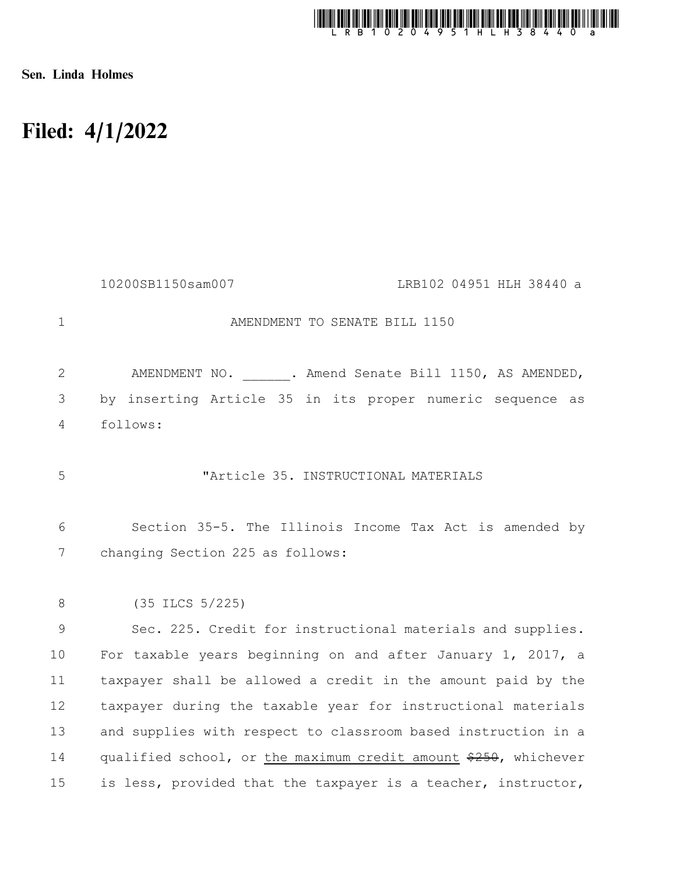

Sen. Linda Holmes

## Filed: 4/1/2022

|              | 10200SB1150sam007<br>LRB102 04951 HLH 38440 a                   |
|--------------|-----------------------------------------------------------------|
| $\mathbf{1}$ | AMENDMENT TO SENATE BILL 1150                                   |
| $\mathbf{2}$ | AMENDMENT NO. ______. Amend Senate Bill 1150, AS AMENDED,       |
| 3            | by inserting Article 35 in its proper numeric sequence as       |
| 4            | follows:                                                        |
| 5            | "Article 35. INSTRUCTIONAL MATERIALS                            |
| 6            | Section 35-5. The Illinois Income Tax Act is amended by         |
| 7            | changing Section 225 as follows:                                |
| $\,8\,$      | (35 ILCS 5/225)                                                 |
| 9            | Sec. 225. Credit for instructional materials and supplies.      |
| 10           | For taxable years beginning on and after January 1, 2017, a     |
| 11           | taxpayer shall be allowed a credit in the amount paid by the    |
| 12           | taxpayer during the taxable year for instructional materials    |
| 13           | and supplies with respect to classroom based instruction in a   |
| 14           | qualified school, or the maximum credit amount \$250, whichever |
| 15           | is less, provided that the taxpayer is a teacher, instructor,   |